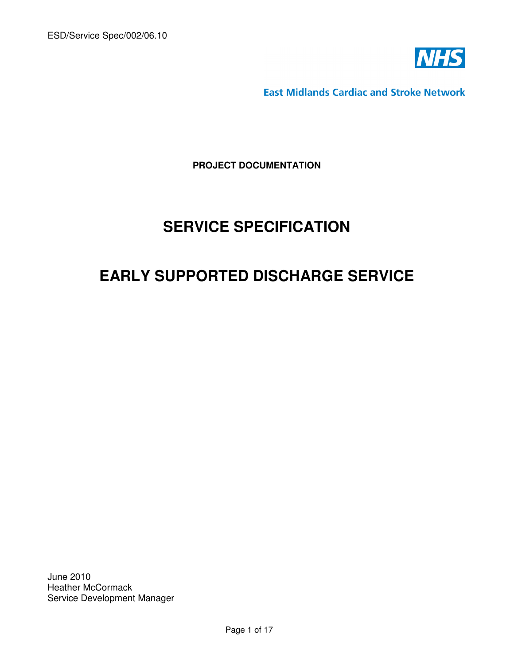

**East Midlands Cardiac and Stroke Network** 

**PROJECT DOCUMENTATION**

# **SERVICE SPECIFICATION**

# **EARLY SUPPORTED DISCHARGE SERVICE**

June 2010 Heather McCormack Service Development Manager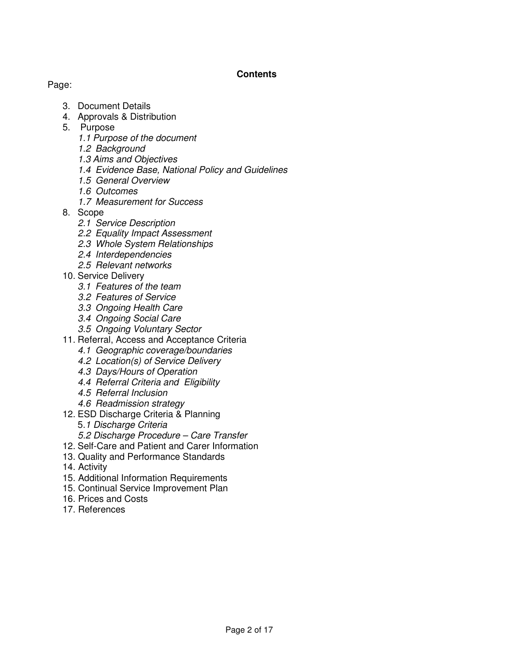## **Contents**

## Page:

- 3. Document Details
- 4. Approvals & Distribution
- 5. Purpose
	- 1.1 Purpose of the document
	- 1.2 Background
	- 1.3 Aims and Objectives
	- 1.4 Evidence Base, National Policy and Guidelines
	- 1.5 General Overview
	- 1.6 Outcomes
	- 1.7 Measurement for Success
- 8. Scope
	- 2.1 Service Description
	- 2.2 Equality Impact Assessment
	- 2.3 Whole System Relationships
	- 2.4 Interdependencies
	- 2.5 Relevant networks
- 10. Service Delivery
	- 3.1 Features of the team
	- 3.2 Features of Service
	- 3.3 Ongoing Health Care
	- 3.4 Ongoing Social Care
	- 3.5 Ongoing Voluntary Sector
- 11. Referral, Access and Acceptance Criteria
	- 4.1 Geographic coverage/boundaries
	- 4.2 Location(s) of Service Delivery
	- 4.3 Days/Hours of Operation
	- 4.4 Referral Criteria and Eligibility
	- 4.5 Referral Inclusion
	- 4.6 Readmission strategy
- 12. ESD Discharge Criteria & Planning
	- 5.1 Discharge Criteria
	- 5.2 Discharge Procedure Care Transfer
- 12. Self-Care and Patient and Carer Information
- 13. Quality and Performance Standards
- 14. Activity
- 15. Additional Information Requirements
- 15. Continual Service Improvement Plan
- 16. Prices and Costs
- 17. References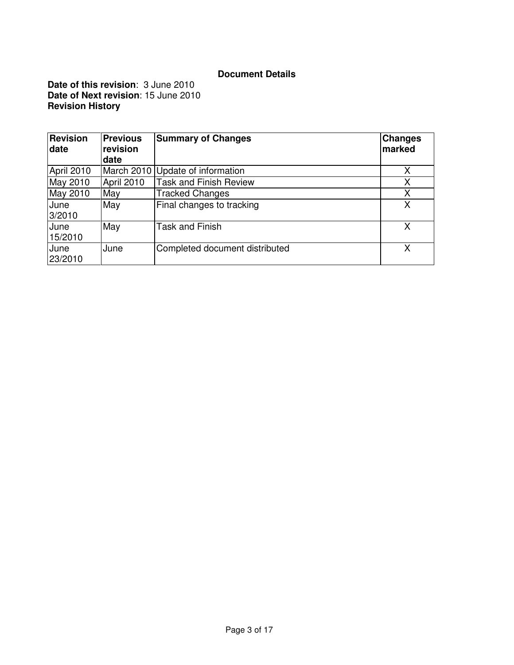## **Document Details**

**Date of this revision**: 3 June 2010 **Date of Next revision**: 15 June 2010 **Revision History** 

| <b>Revision</b><br>date | <b>Previous</b><br>revision<br>date | <b>Summary of Changes</b>        | Changes<br>marked |
|-------------------------|-------------------------------------|----------------------------------|-------------------|
| April 2010              |                                     | March 2010 Update of information | х                 |
| May 2010                | April 2010                          | <b>Task and Finish Review</b>    | X                 |
| May 2010                | May                                 | <b>Tracked Changes</b>           | Χ                 |
| June<br>3/2010          | May                                 | Final changes to tracking        | x                 |
| June<br>15/2010         | May                                 | <b>Task and Finish</b>           | x                 |
| June<br>23/2010         | June                                | Completed document distributed   | X                 |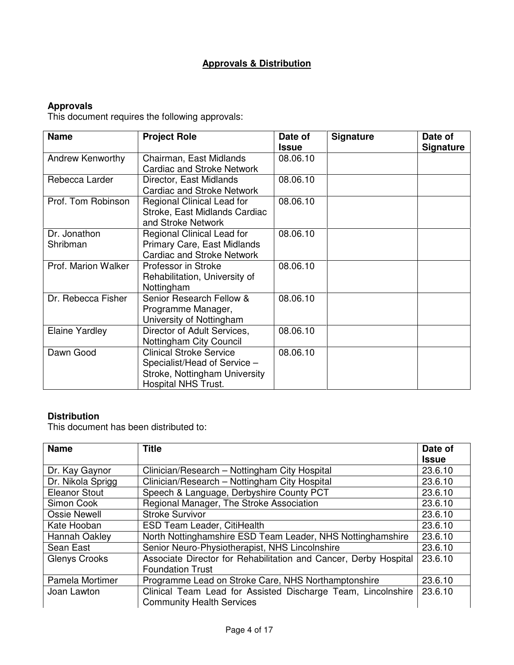# **Approvals & Distribution**

## **Approvals**

This document requires the following approvals:

| <b>Name</b>              | <b>Project Role</b>                                                                                                           | Date of<br><b>Issue</b> | <b>Signature</b> | Date of<br><b>Signature</b> |
|--------------------------|-------------------------------------------------------------------------------------------------------------------------------|-------------------------|------------------|-----------------------------|
| Andrew Kenworthy         | Chairman, East Midlands<br><b>Cardiac and Stroke Network</b>                                                                  | 08.06.10                |                  |                             |
| Rebecca Larder           | Director, East Midlands<br><b>Cardiac and Stroke Network</b>                                                                  | 08.06.10                |                  |                             |
| Prof. Tom Robinson       | Regional Clinical Lead for<br>Stroke, East Midlands Cardiac<br>and Stroke Network                                             | 08.06.10                |                  |                             |
| Dr. Jonathon<br>Shribman | Regional Clinical Lead for<br>Primary Care, East Midlands<br><b>Cardiac and Stroke Network</b>                                | 08.06.10                |                  |                             |
| Prof. Marion Walker      | Professor in Stroke<br>Rehabilitation, University of<br>Nottingham                                                            | 08.06.10                |                  |                             |
| Dr. Rebecca Fisher       | Senior Research Fellow &<br>Programme Manager,<br>University of Nottingham                                                    | 08.06.10                |                  |                             |
| <b>Elaine Yardley</b>    | Director of Adult Services,<br>Nottingham City Council                                                                        | 08.06.10                |                  |                             |
| Dawn Good                | <b>Clinical Stroke Service</b><br>Specialist/Head of Service -<br>Stroke, Nottingham University<br><b>Hospital NHS Trust.</b> | 08.06.10                |                  |                             |

## **Distribution**

This document has been distributed to:

| <b>Name</b>          | <b>Title</b>                                                                                     | Date of      |
|----------------------|--------------------------------------------------------------------------------------------------|--------------|
|                      |                                                                                                  | <b>Issue</b> |
| Dr. Kay Gaynor       | Clinician/Research - Nottingham City Hospital                                                    | 23.6.10      |
| Dr. Nikola Sprigg    | Clinician/Research - Nottingham City Hospital                                                    | 23.6.10      |
| <b>Eleanor Stout</b> | Speech & Language, Derbyshire County PCT                                                         | 23.6.10      |
| Simon Cook           | Regional Manager, The Stroke Association                                                         | 23.6.10      |
| <b>Ossie Newell</b>  | <b>Stroke Survivor</b>                                                                           | 23.6.10      |
| Kate Hooban          | ESD Team Leader, CitiHealth                                                                      | 23.6.10      |
| Hannah Oakley        | North Nottinghamshire ESD Team Leader, NHS Nottinghamshire                                       | 23.6.10      |
| Sean East            | Senior Neuro-Physiotherapist, NHS Lincolnshire                                                   | 23.6.10      |
| <b>Glenys Crooks</b> | Associate Director for Rehabilitation and Cancer, Derby Hospital                                 | 23.6.10      |
|                      | <b>Foundation Trust</b>                                                                          |              |
| Pamela Mortimer      | Programme Lead on Stroke Care, NHS Northamptonshire                                              | 23.6.10      |
| Joan Lawton          | Clinical Team Lead for Assisted Discharge Team, Lincolnshire<br><b>Community Health Services</b> | 23.6.10      |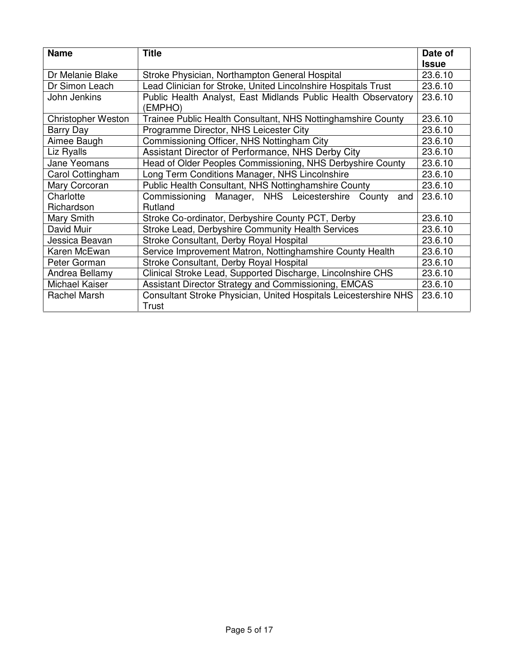| <b>Name</b>               | <b>Title</b>                                                              | Date of      |
|---------------------------|---------------------------------------------------------------------------|--------------|
|                           |                                                                           | <b>Issue</b> |
| Dr Melanie Blake          | Stroke Physician, Northampton General Hospital                            | 23.6.10      |
| Dr Simon Leach            | Lead Clinician for Stroke, United Lincolnshire Hospitals Trust            | 23.6.10      |
| John Jenkins              | Public Health Analyst, East Midlands Public Health Observatory<br>(EMPHO) | 23.6.10      |
| <b>Christopher Weston</b> | Trainee Public Health Consultant, NHS Nottinghamshire County              | 23.6.10      |
| Barry Day                 | Programme Director, NHS Leicester City                                    | 23.6.10      |
| Aimee Baugh               | Commissioning Officer, NHS Nottingham City                                | 23.6.10      |
| Liz Ryalls                | Assistant Director of Performance, NHS Derby City                         | 23.6.10      |
| <b>Jane Yeomans</b>       | Head of Older Peoples Commissioning, NHS Derbyshire County                | 23.6.10      |
| Carol Cottingham          | Long Term Conditions Manager, NHS Lincolnshire                            | 23.6.10      |
| Mary Corcoran             | Public Health Consultant, NHS Nottinghamshire County                      | 23.6.10      |
| Charlotte                 | Commissioning Manager, NHS Leicestershire<br>County<br>and                | 23.6.10      |
| Richardson                | Rutland                                                                   |              |
| Mary Smith                | Stroke Co-ordinator, Derbyshire County PCT, Derby                         | 23.6.10      |
| David Muir                | Stroke Lead, Derbyshire Community Health Services                         | 23.6.10      |
| Jessica Beavan            | Stroke Consultant, Derby Royal Hospital                                   | 23.6.10      |
| Karen McEwan              | Service Improvement Matron, Nottinghamshire County Health                 | 23.6.10      |
| Peter Gorman              | Stroke Consultant, Derby Royal Hospital                                   | 23.6.10      |
| Andrea Bellamy            | Clinical Stroke Lead, Supported Discharge, Lincolnshire CHS               | 23.6.10      |
| Michael Kaiser            | Assistant Director Strategy and Commissioning, EMCAS                      | 23.6.10      |
| Rachel Marsh              | Consultant Stroke Physician, United Hospitals Leicestershire NHS<br>Trust | 23.6.10      |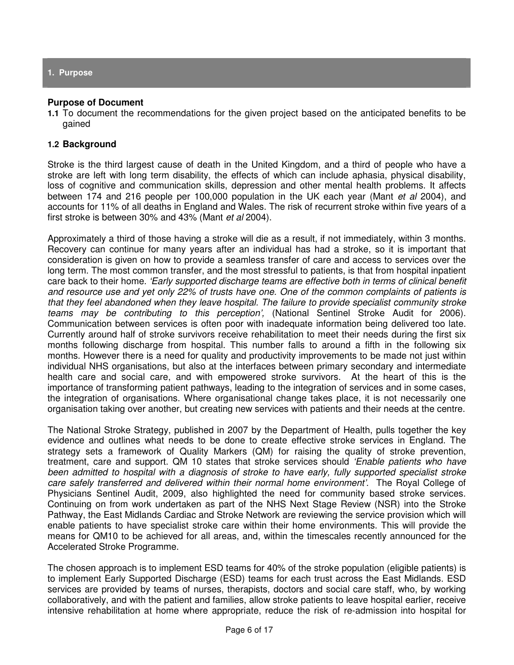**1. Purpose** 

#### **Purpose of Document**

**1.1** To document the recommendations for the given project based on the anticipated benefits to be gained

#### **1.2 Background**

Stroke is the third largest cause of death in the United Kingdom, and a third of people who have a stroke are left with long term disability, the effects of which can include aphasia, physical disability, loss of cognitive and communication skills, depression and other mental health problems. It affects between 174 and 216 people per 100,000 population in the UK each year (Mant et al 2004), and accounts for 11% of all deaths in England and Wales. The risk of recurrent stroke within five years of a first stroke is between 30% and 43% (Mant et al 2004).

Approximately a third of those having a stroke will die as a result, if not immediately, within 3 months. Recovery can continue for many years after an individual has had a stroke, so it is important that consideration is given on how to provide a seamless transfer of care and access to services over the long term. The most common transfer, and the most stressful to patients, is that from hospital inpatient care back to their home. 'Early supported discharge teams are effective both in terms of clinical benefit and resource use and yet only 22% of trusts have one. One of the common complaints of patients is that they feel abandoned when they leave hospital. The failure to provide specialist community stroke teams may be contributing to this perception', (National Sentinel Stroke Audit for 2006). Communication between services is often poor with inadequate information being delivered too late. Currently around half of stroke survivors receive rehabilitation to meet their needs during the first six months following discharge from hospital. This number falls to around a fifth in the following six months. However there is a need for quality and productivity improvements to be made not just within individual NHS organisations, but also at the interfaces between primary secondary and intermediate health care and social care, and with empowered stroke survivors. At the heart of this is the importance of transforming patient pathways, leading to the integration of services and in some cases, the integration of organisations. Where organisational change takes place, it is not necessarily one organisation taking over another, but creating new services with patients and their needs at the centre.

The National Stroke Strategy, published in 2007 by the Department of Health, pulls together the key evidence and outlines what needs to be done to create effective stroke services in England. The strategy sets a framework of Quality Markers (QM) for raising the quality of stroke prevention, treatment, care and support. QM 10 states that stroke services should 'Enable patients who have been admitted to hospital with a diagnosis of stroke to have early, fully supported specialist stroke care safely transferred and delivered within their normal home environment'. The Royal College of Physicians Sentinel Audit, 2009, also highlighted the need for community based stroke services. Continuing on from work undertaken as part of the NHS Next Stage Review (NSR) into the Stroke Pathway, the East Midlands Cardiac and Stroke Network are reviewing the service provision which will enable patients to have specialist stroke care within their home environments. This will provide the means for QM10 to be achieved for all areas, and, within the timescales recently announced for the Accelerated Stroke Programme.

The chosen approach is to implement ESD teams for 40% of the stroke population (eligible patients) is to implement Early Supported Discharge (ESD) teams for each trust across the East Midlands. ESD services are provided by teams of nurses, therapists, doctors and social care staff, who, by working collaboratively, and with the patient and families, allow stroke patients to leave hospital earlier, receive intensive rehabilitation at home where appropriate, reduce the risk of re-admission into hospital for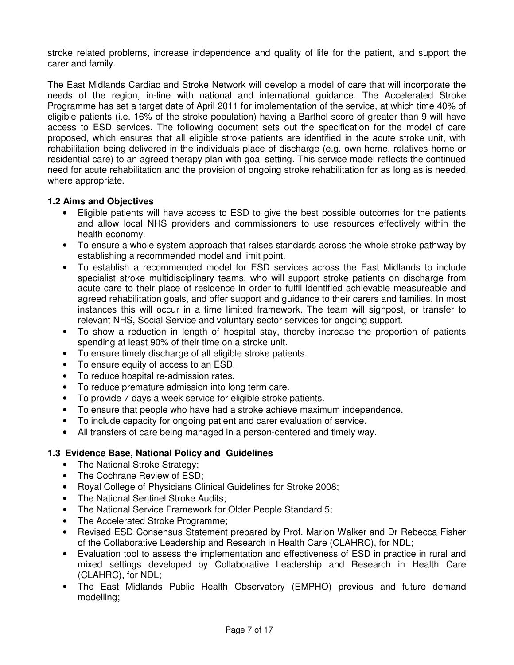stroke related problems, increase independence and quality of life for the patient, and support the carer and family.

The East Midlands Cardiac and Stroke Network will develop a model of care that will incorporate the needs of the region, in-line with national and international guidance. The Accelerated Stroke Programme has set a target date of April 2011 for implementation of the service, at which time 40% of eligible patients (i.e. 16% of the stroke population) having a Barthel score of greater than 9 will have access to ESD services. The following document sets out the specification for the model of care proposed, which ensures that all eligible stroke patients are identified in the acute stroke unit, with rehabilitation being delivered in the individuals place of discharge (e.g. own home, relatives home or residential care) to an agreed therapy plan with goal setting. This service model reflects the continued need for acute rehabilitation and the provision of ongoing stroke rehabilitation for as long as is needed where appropriate.

## **1.2 Aims and Objectives**

- Eligible patients will have access to ESD to give the best possible outcomes for the patients and allow local NHS providers and commissioners to use resources effectively within the health economy.
- To ensure a whole system approach that raises standards across the whole stroke pathway by establishing a recommended model and limit point.
- To establish a recommended model for ESD services across the East Midlands to include specialist stroke multidisciplinary teams, who will support stroke patients on discharge from acute care to their place of residence in order to fulfil identified achievable measureable and agreed rehabilitation goals, and offer support and guidance to their carers and families. In most instances this will occur in a time limited framework. The team will signpost, or transfer to relevant NHS, Social Service and voluntary sector services for ongoing support.
- To show a reduction in length of hospital stay, thereby increase the proportion of patients spending at least 90% of their time on a stroke unit.
- To ensure timely discharge of all eligible stroke patients.
- To ensure equity of access to an ESD.
- To reduce hospital re-admission rates.
- To reduce premature admission into long term care.
- To provide 7 days a week service for eligible stroke patients.
- To ensure that people who have had a stroke achieve maximum independence.
- To include capacity for ongoing patient and carer evaluation of service.
- All transfers of care being managed in a person-centered and timely way.

## **1.3 Evidence Base, National Policy and Guidelines**

- The National Stroke Strategy;
- The Cochrane Review of ESD;
- Royal College of Physicians Clinical Guidelines for Stroke 2008;
- The National Sentinel Stroke Audits;
- The National Service Framework for Older People Standard 5;
- The Accelerated Stroke Programme;
- Revised ESD Consensus Statement prepared by Prof. Marion Walker and Dr Rebecca Fisher of the Collaborative Leadership and Research in Health Care (CLAHRC), for NDL;
- Evaluation tool to assess the implementation and effectiveness of ESD in practice in rural and mixed settings developed by Collaborative Leadership and Research in Health Care (CLAHRC), for NDL;
- The East Midlands Public Health Observatory (EMPHO) previous and future demand modelling;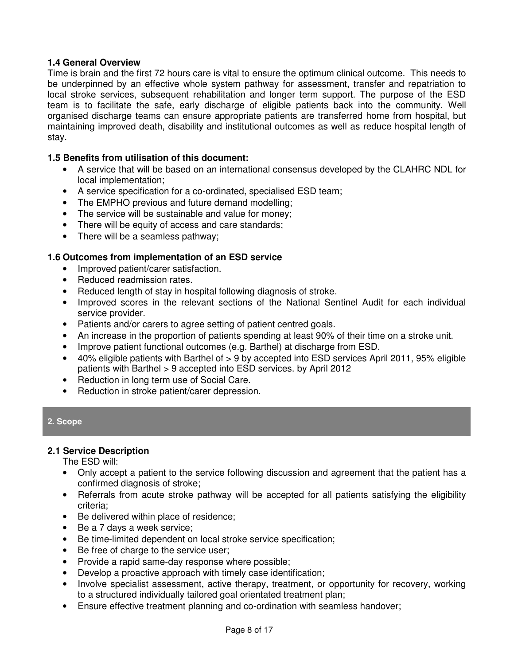#### **1.4 General Overview**

Time is brain and the first 72 hours care is vital to ensure the optimum clinical outcome. This needs to be underpinned by an effective whole system pathway for assessment, transfer and repatriation to local stroke services, subsequent rehabilitation and longer term support. The purpose of the ESD team is to facilitate the safe, early discharge of eligible patients back into the community. Well organised discharge teams can ensure appropriate patients are transferred home from hospital, but maintaining improved death, disability and institutional outcomes as well as reduce hospital length of stay.

#### **1.5 Benefits from utilisation of this document:**

- A service that will be based on an international consensus developed by the CLAHRC NDL for local implementation;
- A service specification for a co-ordinated, specialised ESD team;
- The EMPHO previous and future demand modelling;
- The service will be sustainable and value for money;
- There will be equity of access and care standards;
- There will be a seamless pathway;

## **1.6 Outcomes from implementation of an ESD service**

- Improved patient/carer satisfaction.
- Reduced readmission rates.
- Reduced length of stay in hospital following diagnosis of stroke.
- Improved scores in the relevant sections of the National Sentinel Audit for each individual service provider.
- Patients and/or carers to agree setting of patient centred goals.
- An increase in the proportion of patients spending at least 90% of their time on a stroke unit.
- Improve patient functional outcomes (e.g. Barthel) at discharge from ESD.
- 40% eligible patients with Barthel of > 9 by accepted into ESD services April 2011, 95% eligible patients with Barthel > 9 accepted into ESD services. by April 2012
- Reduction in long term use of Social Care.
- Reduction in stroke patient/carer depression.

#### **2. Scope**

#### **2.1 Service Description**

The ESD will:

- Only accept a patient to the service following discussion and agreement that the patient has a confirmed diagnosis of stroke;
- Referrals from acute stroke pathway will be accepted for all patients satisfying the eligibility criteria;
- Be delivered within place of residence;
- Be a 7 days a week service;
- Be time-limited dependent on local stroke service specification;
- Be free of charge to the service user;
- Provide a rapid same-day response where possible;
- Develop a proactive approach with timely case identification;
- Involve specialist assessment, active therapy, treatment, or opportunity for recovery, working to a structured individually tailored goal orientated treatment plan;
- Ensure effective treatment planning and co-ordination with seamless handover;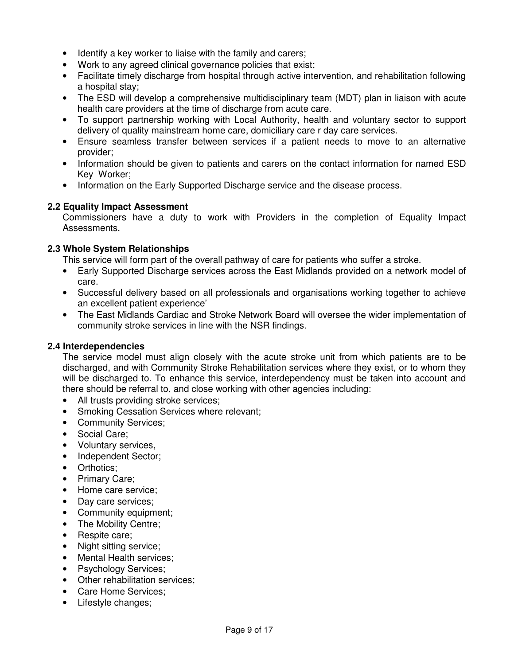- Identify a key worker to liaise with the family and carers;
- Work to any agreed clinical governance policies that exist;
- Facilitate timely discharge from hospital through active intervention, and rehabilitation following a hospital stay;
- The ESD will develop a comprehensive multidisciplinary team (MDT) plan in liaison with acute health care providers at the time of discharge from acute care.
- To support partnership working with Local Authority, health and voluntary sector to support delivery of quality mainstream home care, domiciliary care r day care services.
- Ensure seamless transfer between services if a patient needs to move to an alternative provider;
- Information should be given to patients and carers on the contact information for named ESD Key Worker;
- Information on the Early Supported Discharge service and the disease process.

## **2.2 Equality Impact Assessment**

Commissioners have a duty to work with Providers in the completion of Equality Impact Assessments.

## **2.3 Whole System Relationships**

This service will form part of the overall pathway of care for patients who suffer a stroke.

- Early Supported Discharge services across the East Midlands provided on a network model of care.
- Successful delivery based on all professionals and organisations working together to achieve an excellent patient experience'
- The East Midlands Cardiac and Stroke Network Board will oversee the wider implementation of community stroke services in line with the NSR findings.

#### **2.4 Interdependencies**

The service model must align closely with the acute stroke unit from which patients are to be discharged, and with Community Stroke Rehabilitation services where they exist, or to whom they will be discharged to. To enhance this service, interdependency must be taken into account and there should be referral to, and close working with other agencies including:

- All trusts providing stroke services;
- Smoking Cessation Services where relevant;
- Community Services;
- Social Care;
- Voluntary services,
- Independent Sector;
- Orthotics:
- Primary Care;
- Home care service;
- Day care services;
- Community equipment;
- The Mobility Centre;
- Respite care;
- Night sitting service;
- Mental Health services;
- Psychology Services;
- Other rehabilitation services:
- Care Home Services;
- Lifestyle changes;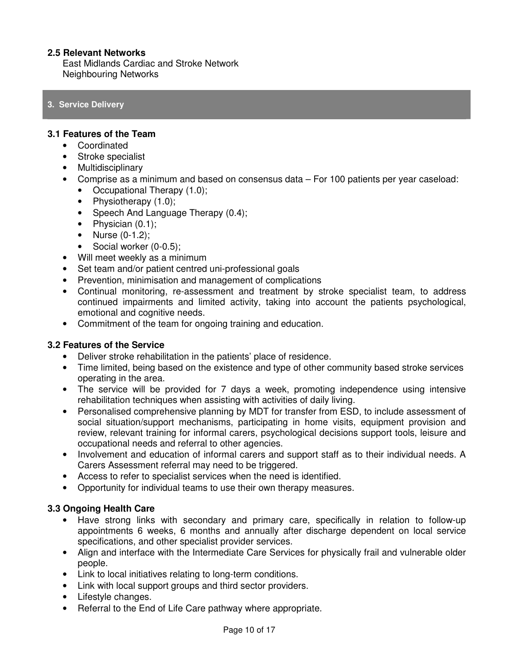#### **2.5 Relevant Networks**

East Midlands Cardiac and Stroke Network Neighbouring Networks

#### **3. Service Delivery**

#### **3.1 Features of the Team**

- Coordinated
- Stroke specialist
- Multidisciplinary
- Comprise as a minimum and based on consensus data For 100 patients per year caseload:
	- Occupational Therapy (1.0);
	- Physiotherapy (1.0);
	- Speech And Language Therapy (0.4);
	- Physician (0.1);
	- Nurse (0-1.2);
	- Social worker (0-0.5);
- Will meet weekly as a minimum
- Set team and/or patient centred uni-professional goals
- Prevention, minimisation and management of complications
- Continual monitoring, re-assessment and treatment by stroke specialist team, to address continued impairments and limited activity, taking into account the patients psychological, emotional and cognitive needs.
- Commitment of the team for ongoing training and education.

#### **3.2 Features of the Service**

- Deliver stroke rehabilitation in the patients' place of residence.
- Time limited, being based on the existence and type of other community based stroke services operating in the area.
- The service will be provided for 7 days a week, promoting independence using intensive rehabilitation techniques when assisting with activities of daily living.
- Personalised comprehensive planning by MDT for transfer from ESD, to include assessment of social situation/support mechanisms, participating in home visits, equipment provision and review, relevant training for informal carers, psychological decisions support tools, leisure and occupational needs and referral to other agencies.
- Involvement and education of informal carers and support staff as to their individual needs. A Carers Assessment referral may need to be triggered.
- Access to refer to specialist services when the need is identified.
- Opportunity for individual teams to use their own therapy measures.

#### **3.3 Ongoing Health Care**

- Have strong links with secondary and primary care, specifically in relation to follow-up appointments 6 weeks, 6 months and annually after discharge dependent on local service specifications, and other specialist provider services.
- Align and interface with the Intermediate Care Services for physically frail and vulnerable older people.
- Link to local initiatives relating to long-term conditions.
- Link with local support groups and third sector providers.
- Lifestyle changes.
- Referral to the End of Life Care pathway where appropriate.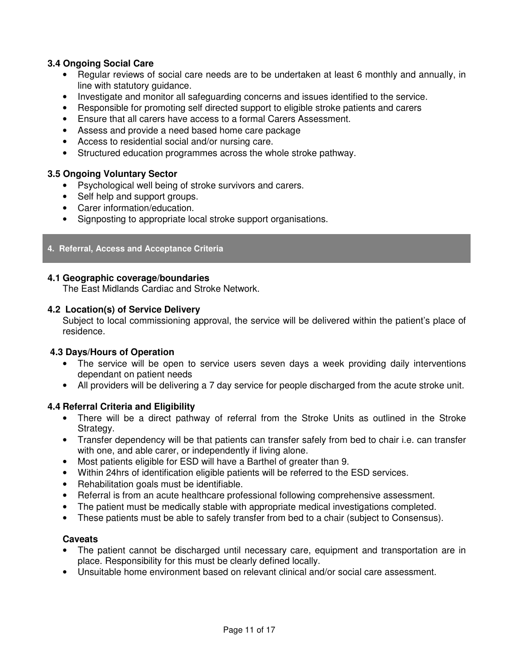## **3.4 Ongoing Social Care**

- Regular reviews of social care needs are to be undertaken at least 6 monthly and annually, in line with statutory guidance.
- Investigate and monitor all safeguarding concerns and issues identified to the service.
- Responsible for promoting self directed support to eligible stroke patients and carers
- Ensure that all carers have access to a formal Carers Assessment.
- Assess and provide a need based home care package
- Access to residential social and/or nursing care.
- Structured education programmes across the whole stroke pathway.

## **3.5 Ongoing Voluntary Sector**

- Psychological well being of stroke survivors and carers.
- Self help and support groups.
- Carer information/education.
- Signposting to appropriate local stroke support organisations.

#### **4. Referral, Access and Acceptance Criteria**

#### **4.1 Geographic coverage/boundaries**

The East Midlands Cardiac and Stroke Network.

#### **4.2 Location(s) of Service Delivery**

Subject to local commissioning approval, the service will be delivered within the patient's place of residence.

#### **4.3 Days/Hours of Operation**

- The service will be open to service users seven days a week providing daily interventions dependant on patient needs
- All providers will be delivering a 7 day service for people discharged from the acute stroke unit.

#### **4.4 Referral Criteria and Eligibility**

- There will be a direct pathway of referral from the Stroke Units as outlined in the Stroke Strategy.
- Transfer dependency will be that patients can transfer safely from bed to chair i.e. can transfer with one, and able carer, or independently if living alone.
- Most patients eligible for ESD will have a Barthel of greater than 9.
- Within 24hrs of identification eligible patients will be referred to the ESD services.
- Rehabilitation goals must be identifiable.
- Referral is from an acute healthcare professional following comprehensive assessment.
- The patient must be medically stable with appropriate medical investigations completed.
- These patients must be able to safely transfer from bed to a chair (subject to Consensus).

#### **Caveats**

- The patient cannot be discharged until necessary care, equipment and transportation are in place. Responsibility for this must be clearly defined locally.
- Unsuitable home environment based on relevant clinical and/or social care assessment.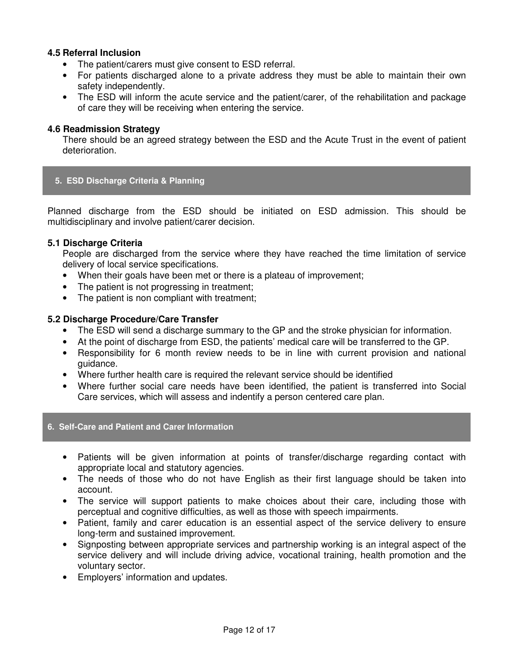#### **4.5 Referral Inclusion**

- The patient/carers must give consent to ESD referral.
- For patients discharged alone to a private address they must be able to maintain their own safety independently.
- The ESD will inform the acute service and the patient/carer, of the rehabilitation and package of care they will be receiving when entering the service.

#### **4.6 Readmission Strategy**

There should be an agreed strategy between the ESD and the Acute Trust in the event of patient deterioration.

#### **5. ESD Discharge Criteria & Planning**

Planned discharge from the ESD should be initiated on ESD admission. This should be multidisciplinary and involve patient/carer decision.

#### **5.1 Discharge Criteria**

People are discharged from the service where they have reached the time limitation of service delivery of local service specifications.

- When their goals have been met or there is a plateau of improvement;
- The patient is not progressing in treatment;
- The patient is non compliant with treatment:

#### **5.2 Discharge Procedure/Care Transfer**

- The ESD will send a discharge summary to the GP and the stroke physician for information.
- At the point of discharge from ESD, the patients' medical care will be transferred to the GP.
- Responsibility for 6 month review needs to be in line with current provision and national guidance.
- Where further health care is required the relevant service should be identified
- Where further social care needs have been identified, the patient is transferred into Social Care services, which will assess and indentify a person centered care plan.

#### **6. Self-Care and Patient and Carer Information**

- Patients will be given information at points of transfer/discharge regarding contact with appropriate local and statutory agencies.
- The needs of those who do not have English as their first language should be taken into account.
- The service will support patients to make choices about their care, including those with perceptual and cognitive difficulties, as well as those with speech impairments.
- Patient, family and carer education is an essential aspect of the service delivery to ensure long-term and sustained improvement.
- Signposting between appropriate services and partnership working is an integral aspect of the service delivery and will include driving advice, vocational training, health promotion and the voluntary sector.
- Employers' information and updates.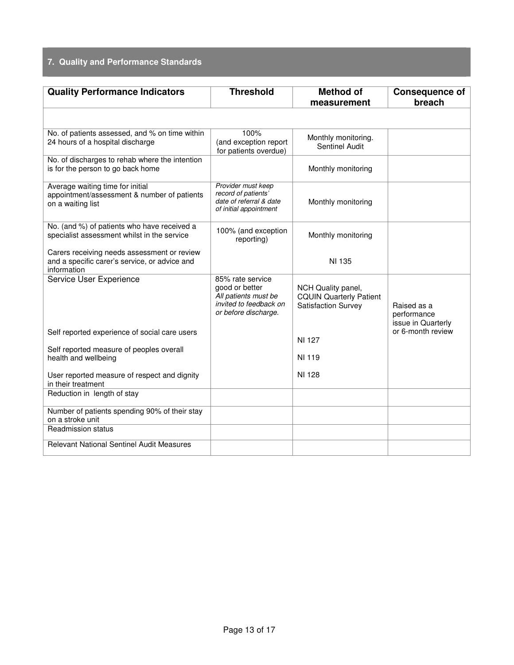# **7. Quality and Performance Standards**

| <b>Quality Performance Indicators</b>                                                                       | <b>Threshold</b>                                                                                             | <b>Method of</b><br>measurement                                                    | <b>Consequence of</b><br>breach                  |
|-------------------------------------------------------------------------------------------------------------|--------------------------------------------------------------------------------------------------------------|------------------------------------------------------------------------------------|--------------------------------------------------|
|                                                                                                             |                                                                                                              |                                                                                    |                                                  |
| No. of patients assessed, and % on time within<br>24 hours of a hospital discharge                          | 100%<br>(and exception report<br>for patients overdue)                                                       | Monthly monitoring.<br>Sentinel Audit                                              |                                                  |
| No. of discharges to rehab where the intention<br>is for the person to go back home                         |                                                                                                              | Monthly monitoring                                                                 |                                                  |
| Average waiting time for initial<br>appointment/assessment & number of patients<br>on a waiting list        | Provider must keep<br>record of patients'<br>date of referral & date<br>of initial appointment               | Monthly monitoring                                                                 |                                                  |
| No. (and %) of patients who have received a<br>specialist assessment whilst in the service                  | 100% (and exception<br>reporting)                                                                            | Monthly monitoring                                                                 |                                                  |
| Carers receiving needs assessment or review<br>and a specific carer's service, or advice and<br>information |                                                                                                              | NI 135                                                                             |                                                  |
| Service User Experience                                                                                     | 85% rate service<br>good or better<br>All patients must be<br>invited to feedback on<br>or before discharge. | NCH Quality panel,<br><b>CQUIN Quarterly Patient</b><br><b>Satisfaction Survey</b> | Raised as a<br>performance<br>issue in Quarterly |
| Self reported experience of social care users<br>Self reported measure of peoples overall                   |                                                                                                              | NI 127                                                                             | or 6-month review                                |
| health and wellbeing                                                                                        |                                                                                                              | NI 119                                                                             |                                                  |
| User reported measure of respect and dignity<br>in their treatment                                          |                                                                                                              | NI 128                                                                             |                                                  |
| Reduction in length of stay                                                                                 |                                                                                                              |                                                                                    |                                                  |
| Number of patients spending 90% of their stay<br>on a stroke unit                                           |                                                                                                              |                                                                                    |                                                  |
| <b>Readmission status</b><br><b>Relevant National Sentinel Audit Measures</b>                               |                                                                                                              |                                                                                    |                                                  |
|                                                                                                             |                                                                                                              |                                                                                    |                                                  |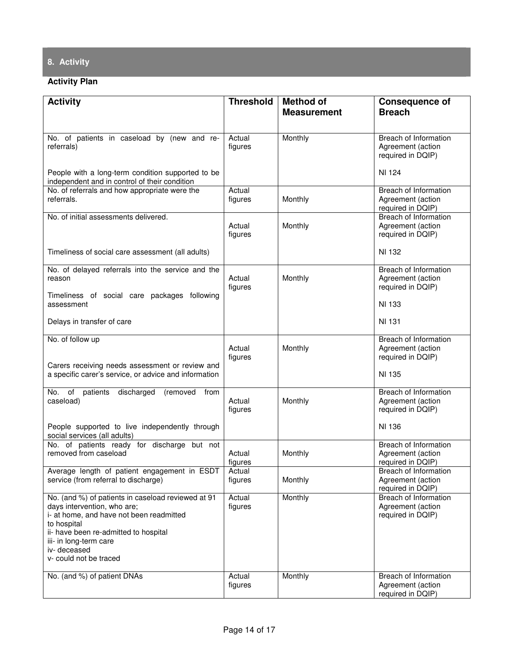# **8. Activity**

# **Activity Plan**

| <b>Activity</b>                                                                                                                                                                                                                                          | <b>Threshold</b>  | <b>Method of</b>   | <b>Consequence of</b>                                           |
|----------------------------------------------------------------------------------------------------------------------------------------------------------------------------------------------------------------------------------------------------------|-------------------|--------------------|-----------------------------------------------------------------|
|                                                                                                                                                                                                                                                          |                   | <b>Measurement</b> | <b>Breach</b>                                                   |
|                                                                                                                                                                                                                                                          |                   |                    |                                                                 |
| No. of patients in caseload by (new and re-<br>referrals)                                                                                                                                                                                                | Actual<br>figures | Monthly            | Breach of Information<br>Agreement (action<br>required in DQIP) |
| People with a long-term condition supported to be<br>independent and in control of their condition                                                                                                                                                       |                   |                    | NI 124                                                          |
| No. of referrals and how appropriate were the<br>referrals.                                                                                                                                                                                              | Actual<br>figures | Monthly            | Breach of Information<br>Agreement (action<br>required in DQIP) |
| No. of initial assessments delivered.                                                                                                                                                                                                                    | Actual<br>figures | Monthly            | Breach of Information<br>Agreement (action<br>required in DQIP) |
| Timeliness of social care assessment (all adults)                                                                                                                                                                                                        |                   |                    | NI 132                                                          |
| No. of delayed referrals into the service and the<br>reason                                                                                                                                                                                              | Actual<br>figures | Monthly            | Breach of Information<br>Agreement (action<br>required in DQIP) |
| Timeliness of social care packages following<br>assessment                                                                                                                                                                                               |                   |                    | NI 133                                                          |
| Delays in transfer of care                                                                                                                                                                                                                               |                   |                    | NI 131                                                          |
| No. of follow up                                                                                                                                                                                                                                         | Actual            | Monthly            | Breach of Information<br>Agreement (action                      |
| Carers receiving needs assessment or review and<br>a specific carer's service, or advice and information                                                                                                                                                 | figures           |                    | required in DQIP)<br>NI 135                                     |
| No. of patients<br>discharged<br>(removed from<br>caseload)                                                                                                                                                                                              | Actual<br>figures | Monthly            | Breach of Information<br>Agreement (action<br>required in DQIP) |
| People supported to live independently through<br>social services (all adults)                                                                                                                                                                           |                   |                    | NI 136                                                          |
| No. of patients ready for discharge but not<br>removed from caseload                                                                                                                                                                                     | Actual<br>figures | Monthly            | Breach of Information<br>Agreement (action<br>required in DQIP) |
| Average length of patient engagement in ESDT<br>service (from referral to discharge)                                                                                                                                                                     | Actual<br>figures | Monthly            | Breach of Information<br>Agreement (action<br>required in DQIP) |
| No. (and %) of patients in caseload reviewed at 91<br>days intervention, who are;<br>i- at home, and have not been readmitted<br>to hospital<br>ii- have been re-admitted to hospital<br>iii- in long-term care<br>iv-deceased<br>v- could not be traced | Actual<br>figures | Monthly            | Breach of Information<br>Agreement (action<br>required in DQIP) |
| No. (and %) of patient DNAs                                                                                                                                                                                                                              | Actual<br>figures | Monthly            | Breach of Information<br>Agreement (action<br>required in DQIP) |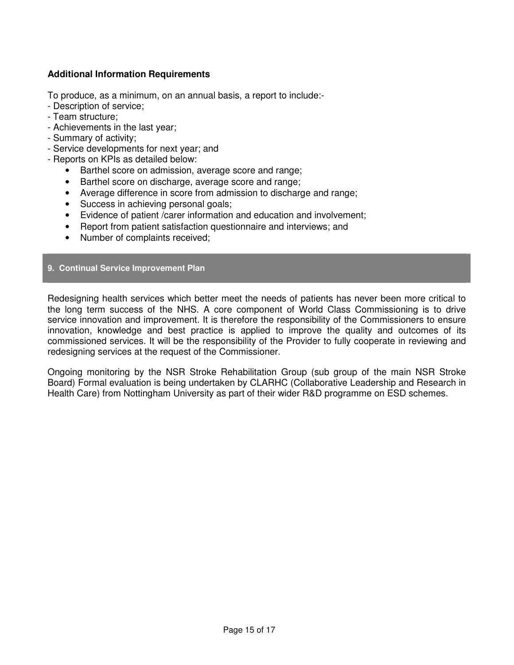## **Additional Information Requirements**

To produce, as a minimum, on an annual basis, a report to include:-

- Description of service;
- Team structure;
- Achievements in the last year;
- Summary of activity;
- Service developments for next year; and
- Reports on KPIs as detailed below:
	- Barthel score on admission, average score and range;
	- Barthel score on discharge, average score and range;
	- Average difference in score from admission to discharge and range;
	- Success in achieving personal goals;
	- Evidence of patient /carer information and education and involvement;
	- Report from patient satisfaction questionnaire and interviews; and
	- Number of complaints received;

#### **9. Continual Service Improvement Plan**

Redesigning health services which better meet the needs of patients has never been more critical to the long term success of the NHS. A core component of World Class Commissioning is to drive service innovation and improvement. It is therefore the responsibility of the Commissioners to ensure innovation, knowledge and best practice is applied to improve the quality and outcomes of its commissioned services. It will be the responsibility of the Provider to fully cooperate in reviewing and redesigning services at the request of the Commissioner.

Ongoing monitoring by the NSR Stroke Rehabilitation Group (sub group of the main NSR Stroke Board) Formal evaluation is being undertaken by CLARHC (Collaborative Leadership and Research in Health Care) from Nottingham University as part of their wider R&D programme on ESD schemes.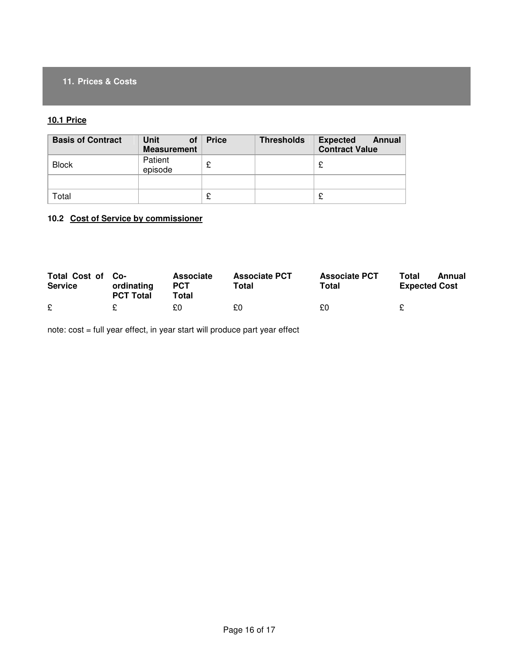## **11. Prices & Costs**

#### **10.1 Price**

| <b>Basis of Contract</b> | Unit<br>0f<br><b>Measurement</b> | <b>Price</b> | <b>Thresholds</b> | <b>Expected</b><br>Annual<br><b>Contract Value</b> |
|--------------------------|----------------------------------|--------------|-------------------|----------------------------------------------------|
| <b>Block</b>             | Patient<br>episode               | £            |                   |                                                    |
|                          |                                  |              |                   |                                                    |
| Total                    |                                  |              |                   |                                                    |

## **10.2 Cost of Service by commissioner**

| Total Cost of Co-<br><b>Service</b> | ordinating<br><b>PCT Total</b> | Associate<br><b>PCT</b><br>Total | <b>Associate PCT</b><br>Total | <b>Associate PCT</b><br>Total | Total<br>Annual<br><b>Expected Cost</b> |
|-------------------------------------|--------------------------------|----------------------------------|-------------------------------|-------------------------------|-----------------------------------------|
| $\mathbf c$                         |                                | £0                               | £0.                           | £0                            |                                         |

note: cost = full year effect, in year start will produce part year effect